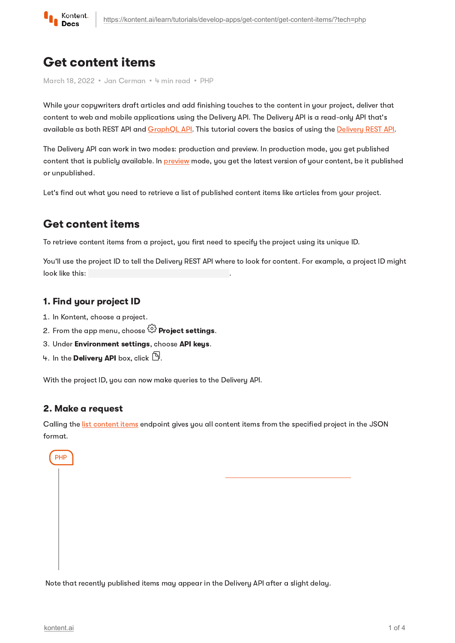

# Get content items

March 18, 2022 · Jan Cerman · 4 min read · PHP

While your copywriters draft articles and add finishing touches to the content in your project, deliver that content to web and mobile applications using the Delivery API. The Delivery API is a read-only API that's available as both REST API and [GraphQL](https://kontent.ai/learn/reference/delivery-graphql-api/) API. This tutorial covers the basics of using the [Delivery](https://kontent.ai/learn/reference/delivery-api/) REST API.

The Delivery API can work in two modes: production and preview. In production mode, you get published content that is publicly available. In [preview](https://kontent.ai/learn/tutorials/develop-apps/build-strong-foundation/set-up-editing-from-preview/) mode, you get the latest version of your content, be it published or unpublished.

Let's find out what you need to retrieve a list of published content items like articles from your project.

# Get content items

To retrieve content items from a project, you first need to specify the project using its unique ID.

You'll use the project ID to tell the Delivery REST API where to look for content. For example, a project ID might<br>look like this:<br>**1. Find your project ID**<br>1. In Kontent, choose a project.<br>2. From the app menu, choose  $\big$ look like this:

### 1. Find your project ID

- 1. In Kontent, choose a project.
- 2. From the app menu, choose  $\stackrel{\leftrightarrow}{\omega}$  Proiect settings.
- 3. Under Environment settings, choose API keys.
- 4. In the Delivery API box, click  $\mathbb{D}$ .

With the project ID, you can now make queries to the Delivery API.

### 2. Make a request

Calling the list [content](https://kontent.ai/learn/reference/delivery-api/#operation/list-content-items) items endpoint gives you all content items from the specified project in the JSON format.

PHP

Note that recently published items may appear in the Delivery API after a slight delay.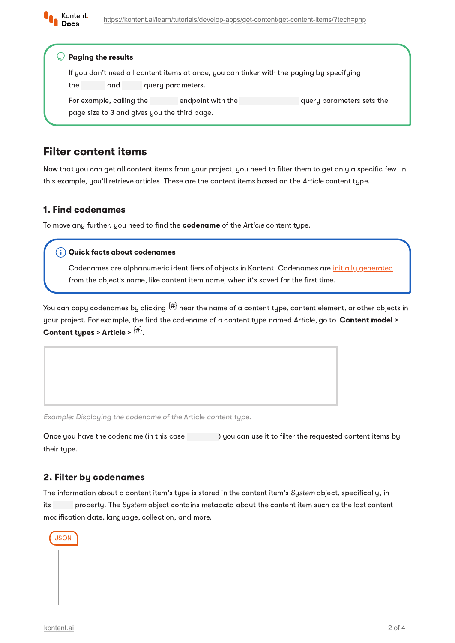

|                                              | <b>Paging the results</b>                                                                 |                   |                   |                           |  |  |
|----------------------------------------------|-------------------------------------------------------------------------------------------|-------------------|-------------------|---------------------------|--|--|
|                                              | If you don't need all content items at once, you can tinker with the paging by specifying |                   |                   |                           |  |  |
| the                                          | and                                                                                       | query parameters. |                   |                           |  |  |
| For example, calling the                     |                                                                                           |                   | endpoint with the | query parameters sets the |  |  |
| page size to 3 and gives you the third page. |                                                                                           |                   |                   |                           |  |  |

# Filter content items

Now that you can get all content items from your project, you need to filter them to get only a specific few. In this example, you'll retrieve articles. These are the content items based on the Article content type.

### 1. Find codenames

To move any further, you need to find the codename of the Article content type.

Codenames are alphanumeric identifiers of objects in Kontent. Codenames are initially [generated](https://kontent.ai/learn/tutorials/manage-kontent/content-modeling/create-and-delete-content-types/#a-edit-codenames) from the object's name, like content item name, when it's saved for the first time.

You can copy codenames by clicking  $^{\text{\tiny (\#)}}$  near the name of a content type, content element, or other objects in your project. For example, the find the codename of a content type named Article, go to Content model > Content types > Article >  $\langle # \rangle$ . **Quick facts about codenames**<br>Codenames are alphanumeric id<br>from the object's name, like cont<br> $\overline{\phantom{a}}$ <br>opy codenames by clicking  $\overline{\phantom{a}}^{\sharp\sharp}$ <br>oject. For example, the find the c<br>**nt tupes > Article >**  $\overline{\phantom{a}}^{\sharp$ 

Example: Displaying the codename of the Article content type.

Once you have the codename (in this case ) you can use it to filter the requested content items by their type.

### 2. Filter by codenames

The information about a content item's type is stored in the content item's System object, specifically, in its property. The System object contains metadata about the content item such as the last content modification date, language, collection, and more.

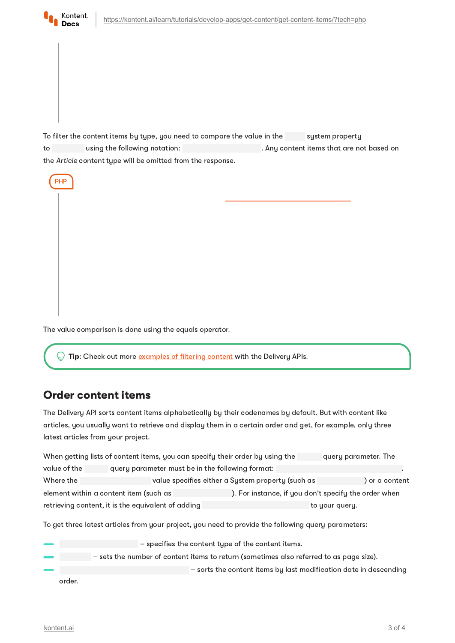

PHP

To filter the content items by type, you need to compare the value in the system property to using the following notation: . Any content items that are not based on the Article content type will be omitted from the response.



Tip: Check out more [examples](https://kontent.ai/learn/tutorials/develop-apps/get-content/filter-content-items-examples/) of filtering content with the Delivery APIs.

### Order content items

The Delivery API sorts content items alphabetically by their codenames by default. But with content like articles, you usually want to retrieve and display them in a certain order and get, for example, only three latest articles from your project.

| When getting lists of content items, you can specify their order by using the | query parameter. The                             |                                                      |                |                |  |  |
|-------------------------------------------------------------------------------|--------------------------------------------------|------------------------------------------------------|----------------|----------------|--|--|
| value of the                                                                  | query parameter must be in the following format: |                                                      |                |                |  |  |
| Where the                                                                     |                                                  | value specifies either a System property (such as    |                | ) or a content |  |  |
| element within a content item (such as                                        |                                                  | ). For instance, if you don't specify the order when |                |                |  |  |
| retrieving content, it is the equivalent of adding                            |                                                  |                                                      | to your query. |                |  |  |

To get three latest articles from your project, you need to provide the following query parameters:

– specifies the content type of the content items. – sets the number of content items to return (sometimes also referred to as page size). – sorts the content items by last modification date in descending order.